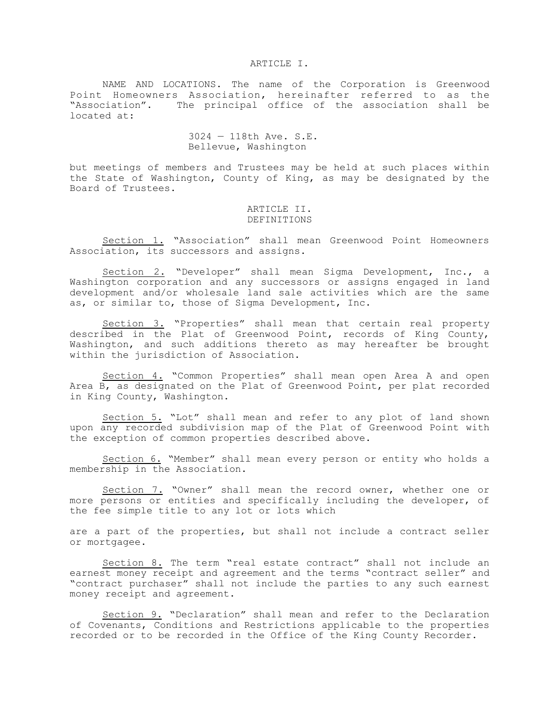#### ARTICLE I.

NAME AND LOCATIONS. The name of the Corporation is Greenwood Point Homeowners Association, hereinafter referred to as the "Association". The principal office of the association shall be located at:

# 3024 — 118th Ave. S.E. Bellevue, Washington

but meetings of members and Trustees may be held at such places within the State of Washington, County of King, as may be designated by the Board of Trustees.

#### ARTICLE II. DEFINITIONS

Section 1. "Association" shall mean Greenwood Point Homeowners Association, its successors and assigns.

Section 2. "Developer" shall mean Sigma Development, Inc., a Washington corporation and any successors or assigns engaged in land development and/or wholesale land sale activities which are the same as, or similar to, those of Sigma Development, Inc.

Section 3. "Properties" shall mean that certain real property described in the Plat of Greenwood Point, records of King County, Washington, and such additions thereto as may hereafter be brought within the jurisdiction of Association.

Section 4. "Common Properties" shall mean open Area A and open Area B, as designated on the Plat of Greenwood Point, per plat recorded in King County, Washington.

Section 5. "Lot" shall mean and refer to any plot of land shown upon any recorded subdivision map of the Plat of Greenwood Point with the exception of common properties described above.

Section 6. "Member" shall mean every person or entity who holds a membership in the Association.

Section 7. "Owner" shall mean the record owner, whether one or more persons or entities and specifically including the developer, of the fee simple title to any lot or lots which

are a part of the properties, but shall not include a contract seller or mortgagee.

Section 8. The term "real estate contract" shall not include an earnest money receipt and agreement and the terms "contract seller" and "contract purchaser" shall not include the parties to any such earnest money receipt and agreement.

Section 9. "Declaration" shall mean and refer to the Declaration of Covenants, Conditions and Restrictions applicable to the properties recorded or to be recorded in the Office of the King County Recorder.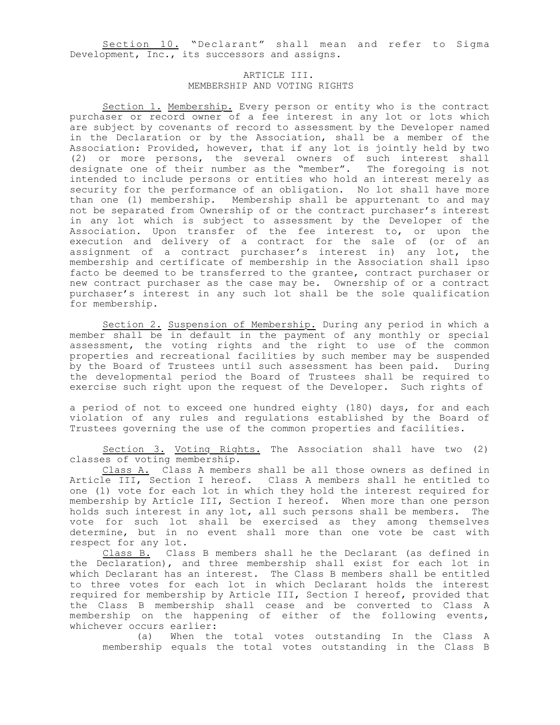Section 10. "Declarant" shall mean and refer to Sigma Development, Inc., its successors and assigns.

# ARTICLE III. MEMBERSHIP AND VOTING RIGHTS

Section 1. Membership. Every person or entity who is the contract purchaser or record owner of a fee interest in any lot or lots which are subject by covenants of record to assessment by the Developer named in the Declaration or by the Association, shall be a member of the Association: Provided, however, that if any lot is jointly held by two (2) or more persons, the several owners of such interest shall designate one of their number as the "member". The foregoing is not intended to include persons or entities who hold an interest merely as security for the performance of an obligation. No lot shall have more than one (1) membership. Membership shall be appurtenant to and may not be separated from Ownership of or the contract purchaser's interest in any lot which is subject to assessment by the Developer of the Association. Upon transfer of the fee interest to, or upon the execution and delivery of a contract for the sale of (or of an assignment of a contract purchaser's interest in) any lot, the membership and certificate of membership in the Association shall ipso facto be deemed to be transferred to the grantee, contract purchaser or new contract purchaser as the case may be. Ownership of or a contract purchaser's interest in any such lot shall be the sole qualification for membership.

Section 2. Suspension of Membership. During any period in which a member shall be in default in the payment of any monthly or special assessment, the voting rights and the right to use of the common properties and recreational facilities by such member may be suspended by the Board of Trustees until such assessment has been paid. During the developmental period the Board of Trustees shall be required to exercise such right upon the request of the Developer. Such rights of

a period of not to exceed one hundred eighty (180) days, for and each violation of any rules and regulations established by the Board of Trustees governing the use of the common properties and facilities.

Section 3. Voting Rights. The Association shall have two (2) classes of voting membership.

Class A. Class A members shall be all those owners as defined in Article III, Section I hereof. Class A members shall he entitled to one (1) vote for each lot in which they hold the interest required for membership by Article III, Section I hereof. When more than one person holds such interest in any lot, all such persons shall be members. The vote for such lot shall be exercised as they among themselves determine, but in no event shall more than one vote be cast with respect for any lot.

Class B. Class B members shall he the Declarant (as defined in the Declaration), and three membership shall exist for each lot in which Declarant has an interest. The Class B members shall be entitled to three votes for each lot in which Declarant holds the interest required for membership by Article III, Section I hereof, provided that the Class B membership shall cease and be converted to Class A membership on the happening of either of the following events, whichever occurs earlier:

(a) When the total votes outstanding In the Class A membership equals the total votes outstanding in the Class B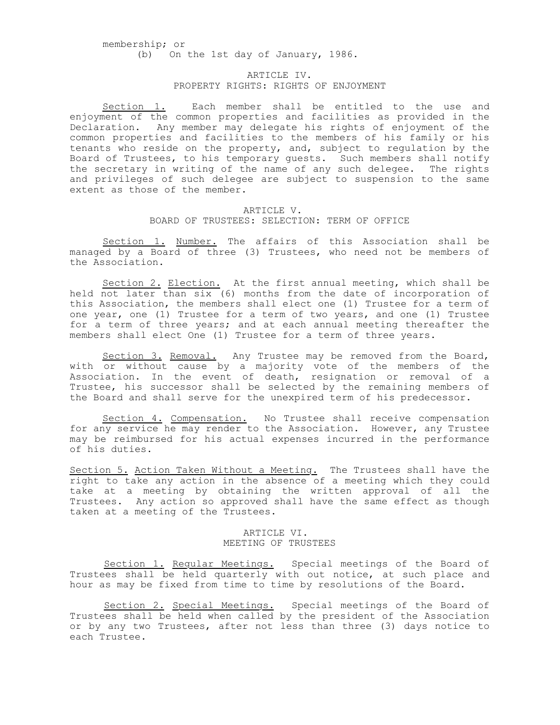membership; or (b) On the 1st day of January, 1986.

# ARTICLE IV. PROPERTY RIGHTS: RIGHTS OF ENJOYMENT

Section 1. Each member shall be entitled to the use and enjoyment of the common properties and facilities as provided in the Declaration. Any member may delegate his rights of enjoyment of the common properties and facilities to the members of his family or his tenants who reside on the property, and, subject to regulation by the Board of Trustees, to his temporary guests. Such members shall notify the secretary in writing of the name of any such delegee. The rights and privileges of such delegee are subject to suspension to the same extent as those of the member.

# ARTICLE V. BOARD OF TRUSTEES: SELECTION: TERM OF OFFICE

Section 1. Number. The affairs of this Association shall be managed by a Board of three (3) Trustees, who need not be members of the Association.

Section 2. Election. At the first annual meeting, which shall be held not later than six (6) months from the date of incorporation of this Association, the members shall elect one (1) Trustee for a term of one year, one (1) Trustee for a term of two years, and one (1) Trustee for a term of three years; and at each annual meeting thereafter the members shall elect One (1) Trustee for a term of three years.

Section 3. Removal. Any Trustee may be removed from the Board, with or without cause by a majority vote of the members of the Association. In the event of death, resignation or removal of a Trustee, his successor shall be selected by the remaining members of the Board and shall serve for the unexpired term of his predecessor.

Section 4. Compensation. No Trustee shall receive compensation for any service he may render to the Association. However, any Trustee may be reimbursed for his actual expenses incurred in the performance of his duties.

Section 5. Action Taken Without a Meeting. The Trustees shall have the right to take any action in the absence of a meeting which they could take at a meeting by obtaining the written approval of all the Trustees. Any action so approved shall have the same effect as though taken at a meeting of the Trustees.

### ARTICLE VI. MEETING OF TRUSTEES

Section 1. Regular Meetings. Special meetings of the Board of Trustees shall be held quarterly with out notice, at such place and hour as may be fixed from time to time by resolutions of the Board.

Section 2. Special Meetings. Special meetings of the Board of Trustees shall be held when called by the president of the Association or by any two Trustees, after not less than three (3) days notice to each Trustee.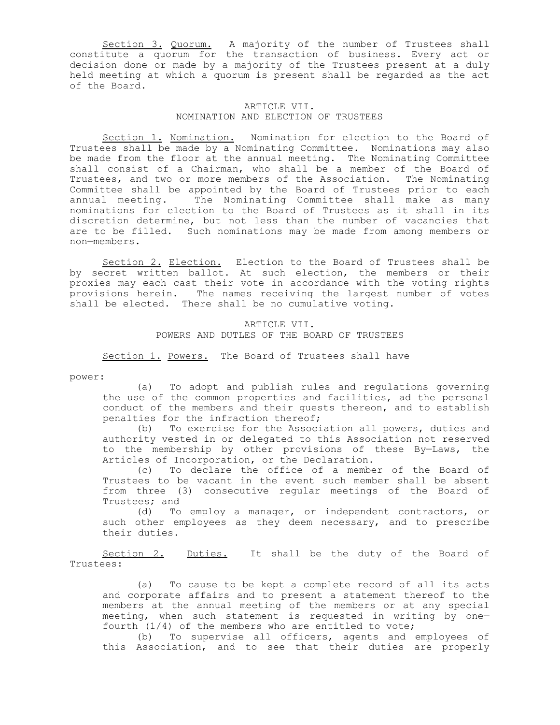Section 3. Quorum. A majority of the number of Trustees shall constitute a quorum for the transaction of business. Every act or decision done or made by a majority of the Trustees present at a duly held meeting at which a quorum is present shall be regarded as the act of the Board.

### ARTICLE VII. NOMINATION AND ELECTION OF TRUSTEES

Section 1. Nomination. Nomination for election to the Board of Trustees shall be made by a Nominating Committee. Nominations may also be made from the floor at the annual meeting. The Nominating Committee shall consist of a Chairman, who shall be a member of the Board of Trustees, and two or more members of the Association. The Nominating Committee shall be appointed by the Board of Trustees prior to each<br>annual meeting. The Nominating Committee shall make as many The Nominating Committee shall make as many nominations for election to the Board of Trustees as it shall in its discretion determine, but not less than the number of vacancies that are to be filled. Such nominations may be made from among members or non—members.

Section 2. Election. Election to the Board of Trustees shall be by secret written ballot. At such election, the members or their proxies may each cast their vote in accordance with the voting rights provisions herein. The names receiving the largest number of votes shall be elected. There shall be no cumulative voting.

## ARTICLE VII. POWERS AND DUTLES OF THE BOARD OF TRUSTEES

Section 1. Powers. The Board of Trustees shall have

power:

(a) To adopt and publish rules and regulations governing the use of the common properties and facilities, ad the personal conduct of the members and their guests thereon, and to establish penalties for the infraction thereof;

(b) To exercise for the Association all powers, duties and authority vested in or delegated to this Association not reserved to the membership by other provisions of these By—Laws, the Articles of Incorporation, or the Declaration.

(c) To declare the office of a member of the Board of Trustees to be vacant in the event such member shall be absent from three (3) consecutive regular meetings of the Board of Trustees; and

(d) To employ a manager, or independent contractors, or such other employees as they deem necessary, and to prescribe their duties.

Section 2. Duties. It shall be the duty of the Board of Trustees:

(a) To cause to be kept a complete record of all its acts and corporate affairs and to present a statement thereof to the members at the annual meeting of the members or at any special meeting, when such statement is requested in writing by one fourth  $(1/4)$  of the members who are entitled to vote;

(b) To supervise all officers, agents and employees of this Association, and to see that their duties are properly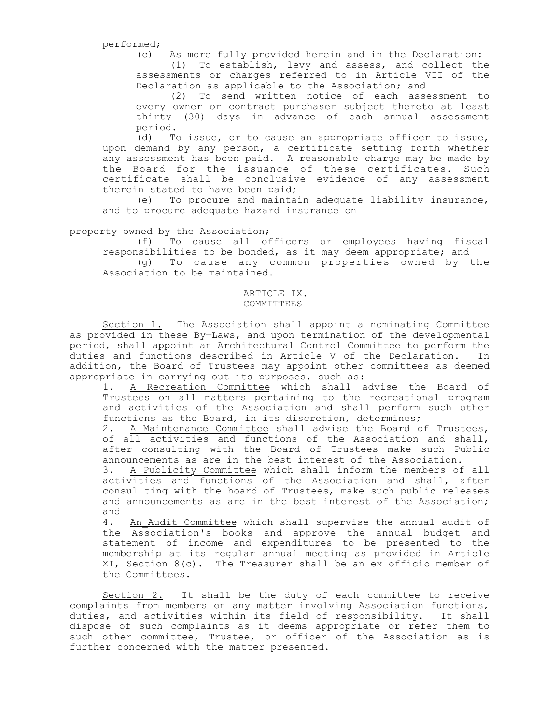performed;

(c) As more fully provided herein and in the Declaration:

(1) To establish, levy and assess, and collect the assessments or charges referred to in Article VII of the Declaration as applicable to the Association; and

(2) To send written notice of each assessment to every owner or contract purchaser subject thereto at least thirty (30) days in advance of each annual assessment period.

(d) To issue, or to cause an appropriate officer to issue, upon demand by any person, a certificate setting forth whether any assessment has been paid. A reasonable charge may be made by the Board for the issuance of these certificates. Such certificate shall be conclusive evidence of any assessment therein stated to have been paid;

(e) To procure and maintain adequate liability insurance, and to procure adequate hazard insurance on

### property owned by the Association;

(f) To cause all officers or employees having fiscal responsibilities to be bonded, as it may deem appropriate; and (g) To cause any common properties owned by the

Association to be maintained.

# ARTICLE IX. COMMITTEES

Section 1. The Association shall appoint a nominating Committee as provided in these By—Laws, and upon termination of the developmental period, shall appoint an Architectural Control Committee to perform the duties and functions described in Article V of the Declaration. In addition, the Board of Trustees may appoint other committees as deemed appropriate in carrying out its purposes, such as:

1. A Recreation Committee which shall advise the Board of Trustees on all matters pertaining to the recreational program and activities of the Association and shall perform such other functions as the Board, in its discretion, determines;

2. A Maintenance Committee shall advise the Board of Trustees, of all activities and functions of the Association and shall, after consulting with the Board of Trustees make such Public announcements as are in the best interest of the Association.

3. A Publicity Committee which shall inform the members of all activities and functions of the Association and shall, after consul ting with the hoard of Trustees, make such public releases and announcements as are in the best interest of the Association; and

4. An Audit Committee which shall supervise the annual audit of the Association's books and approve the annual budget and statement of income and expenditures to be presented to the membership at its regular annual meeting as provided in Article XI, Section  $8(c)$ . The Treasurer shall be an ex officio member of the Committees.

Section 2. It shall be the duty of each committee to receive complaints from members on any matter involving Association functions, duties, and activities within its field of responsibility. It shall dispose of such complaints as it deems appropriate or refer them to such other committee, Trustee, or officer of the Association as is further concerned with the matter presented.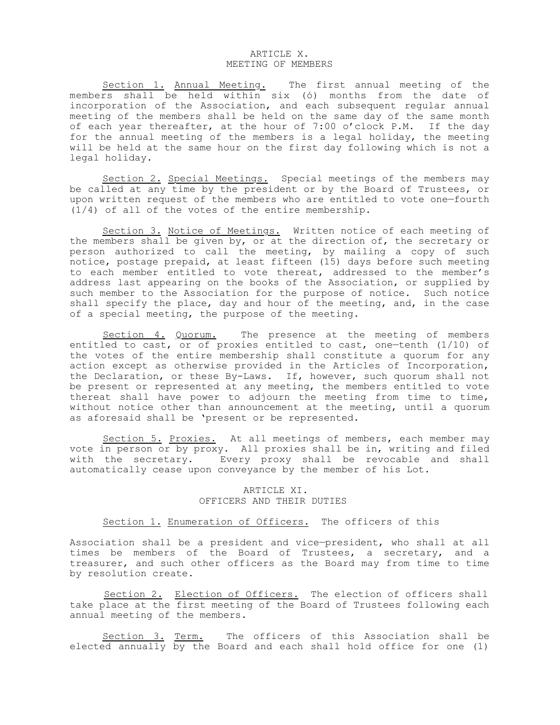### ARTICLE X. MEETING OF MEMBERS

Section 1. Annual Meeting. The first annual meeting of the members shall be held within six (ó) months from the date of incorporation of the Association, and each subsequent regular annual meeting of the members shall be held on the same day of the same month of each year thereafter, at the hour of 7:00 o'clock P.M. If the day for the annual meeting of the members is a legal holiday, the meeting will be held at the same hour on the first day following which is not a legal holiday.

Section 2. Special Meetings. Special meetings of the members may be called at any time by the president or by the Board of Trustees, or upon written request of the members who are entitled to vote one—fourth (1/4) of all of the votes of the entire membership.

Section 3. Notice of Meetings. Written notice of each meeting of the members shall be given by, or at the direction of, the secretary or person authorized to call the meeting, by mailing a copy of such notice, postage prepaid, at least fifteen (15) days before such meeting to each member entitled to vote thereat, addressed to the member's address last appearing on the books of the Association, or supplied by such member to the Association for the purpose of notice. Such notice shall specify the place, day and hour of the meeting, and, in the case of a special meeting, the purpose of the meeting.

Section 4. Quorum. The presence at the meeting of members entitled to cast, or of proxies entitled to cast, one—tenth (1/10) of the votes of the entire membership shall constitute a quorum for any action except as otherwise provided in the Articles of Incorporation, the Declaration, or these By-Laws. If, however, such quorum shall not be present or represented at any meeting, the members entitled to vote thereat shall have power to adjourn the meeting from time to time, without notice other than announcement at the meeting, until a quorum as aforesaid shall be 'present or be represented.

Section 5. Proxies. At all meetings of members, each member may vote in person or by proxy. All proxies shall be in, writing and filed with the secretary. Every proxy shall be revocable and shall automatically cease upon conveyance by the member of his Lot.

### ARTICLE XI. OFFICERS AND THEIR DUTIES

## Section 1. Enumeration of Officers. The officers of this

Association shall be a president and vice—president, who shall at all times be members of the Board of Trustees, a secretary, and a treasurer, and such other officers as the Board may from time to time by resolution create.

Section 2. Election of Officers. The election of officers shall take place at the first meeting of the Board of Trustees following each annual meeting of the members.

Section 3. Term. The officers of this Association shall be elected annually by the Board and each shall hold office for one (1)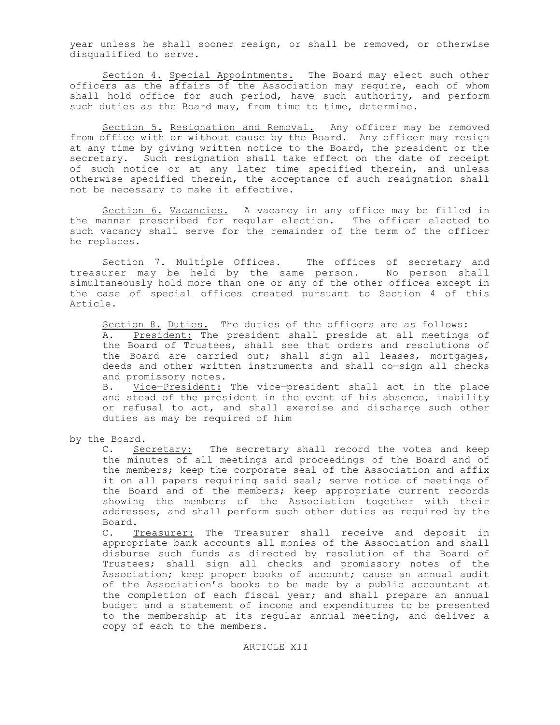year unless he shall sooner resign, or shall be removed, or otherwise disqualified to serve.

Section 4. Special Appointments. The Board may elect such other officers as the affairs of the Association may require, each of whom shall hold office for such period, have such authority, and perform such duties as the Board may, from time to time, determine.

Section 5. Resignation and Removal. Any officer may be removed from office with or without cause by the Board. Any officer may resign at any time by giving written notice to the Board, the president or the secretary. Such resignation shall take effect on the date of receipt of such notice or at any later time specified therein, and unless otherwise specified therein, the acceptance of such resignation shall not be necessary to make it effective.

Section 6. Vacancies. A vacancy in any office may be filled in the manner prescribed for regular election. The officer elected to such vacancy shall serve for the remainder of the term of the officer he replaces.

Section 7. Multiple Offices. The offices of secretary and treasurer may be held by the same person. No person shall simultaneously hold more than one or any of the other offices except in the case of special offices created pursuant to Section 4 of this Article.

Section 8. Duties. The duties of the officers are as follows: A. President: The president shall preside at all meetings of the Board of Trustees, shall see that orders and resolutions of the Board are carried out; shall sign all leases, mortgages, deeds and other written instruments and shall co—sign all checks and promissory notes.

B. Vice-President: The vice-president shall act in the place and stead of the president in the event of his absence, inability or refusal to act, and shall exercise and discharge such other duties as may be required of him

by the Board.

C. Secretary: The secretary shall record the votes and keep the minutes of all meetings and proceedings of the Board and of the members; keep the corporate seal of the Association and affix it on all papers requiring said seal; serve notice of meetings of the Board and of the members; keep appropriate current records showing the members of the Association together with their addresses, and shall perform such other duties as required by the Board.

C. Treasurer: The Treasurer shall receive and deposit in appropriate bank accounts all monies of the Association and shall disburse such funds as directed by resolution of the Board of Trustees; shall sign all checks and promissory notes of the Association; keep proper books of account; cause an annual audit of the Association's books to be made by a public accountant at the completion of each fiscal year; and shall prepare an annual budget and a statement of income and expenditures to be presented to the membership at its regular annual meeting, and deliver a copy of each to the members.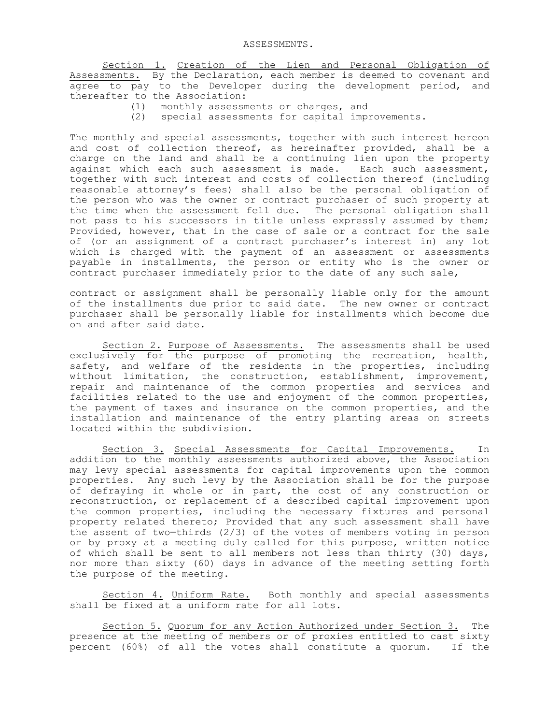Section 1. Creation of the Lien and Personal Obligation of Assessments. By the Declaration, each member is deemed to covenant and agree to pay to the Developer during the development period, and thereafter to the Association:

- (1) monthly assessments or charges, and
- (2) special assessments for capital improvements.

The monthly and special assessments, together with such interest hereon and cost of collection thereof, as hereinafter provided, shall be a charge on the land and shall be a continuing lien upon the property against which each such assessment is made. Each such assessment, together with such interest and costs of collection thereof (including reasonable attorney's fees) shall also be the personal obligation of the person who was the owner or contract purchaser of such property at the time when the assessment fell due. The personal obligation shall not pass to his successors in title unless expressly assumed by them; Provided, however, that in the case of sale or a contract for the sale of (or an assignment of a contract purchaser's interest in) any lot which is charged with the payment of an assessment or assessments payable in installments, the person or entity who is the owner or contract purchaser immediately prior to the date of any such sale,

contract or assignment shall be personally liable only for the amount of the installments due prior to said date. The new owner or contract purchaser shall be personally liable for installments which become due on and after said date.

Section 2. Purpose of Assessments. The assessments shall be used exclusively for the purpose of promoting the recreation, health, safety, and welfare of the residents in the properties, including without limitation, the construction, establishment, improvement, repair and maintenance of the common properties and services and facilities related to the use and enjoyment of the common properties, the payment of taxes and insurance on the common properties, and the installation and maintenance of the entry planting areas on streets located within the subdivision.

Section 3. Special Assessments for Capital Improvements. In addition to the monthly assessments authorized above, the Association may levy special assessments for capital improvements upon the common properties. Any such levy by the Association shall be for the purpose of defraying in whole or in part, the cost of any construction or reconstruction, or replacement of a described capital improvement upon the common properties, including the necessary fixtures and personal property related thereto; Provided that any such assessment shall have the assent of two—thirds (2/3) of the votes of members voting in person or by proxy at a meeting duly called for this purpose, written notice of which shall be sent to all members not less than thirty (30) days, nor more than sixty (60) days in advance of the meeting setting forth the purpose of the meeting.

Section 4. Uniform Rate. Both monthly and special assessments shall be fixed at a uniform rate for all lots.

Section 5. Quorum for any Action Authorized under Section 3. The presence at the meeting of members or of proxies entitled to cast sixty percent (60%) of all the votes shall constitute a quorum. If the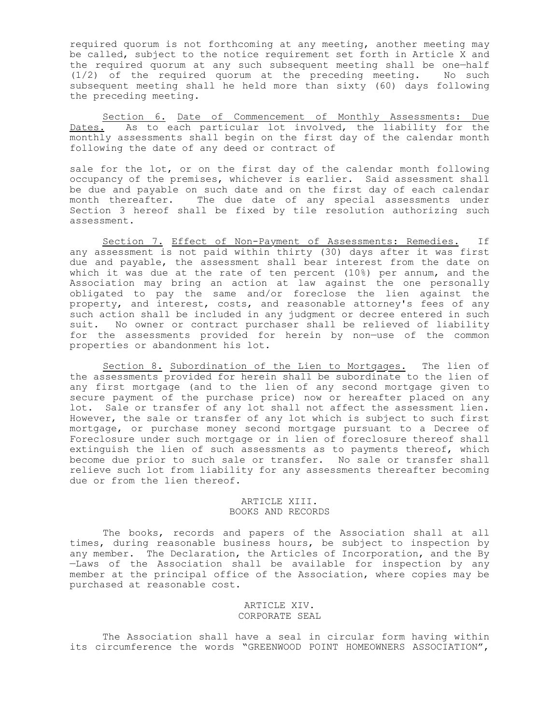required quorum is not forthcoming at any meeting, another meeting may be called, subject to the notice requirement set forth in Article X and the required quorum at any such subsequent meeting shall be one—half (1/2) of the required quorum at the preceding meeting. No such subsequent meeting shall he held more than sixty (60) days following the preceding meeting.

Section 6. Date of Commencement of Monthly Assessments: Due Dates. As to each particular lot involved, the liability for the monthly assessments shall begin on the first day of the calendar month following the date of any deed or contract of

sale for the lot, or on the first day of the calendar month following occupancy of the premises, whichever is earlier. Said assessment shall be due and payable on such date and on the first day of each calendar month thereafter. The due date of any special assessments under Section 3 hereof shall be fixed by tile resolution authorizing such assessment.

Section 7. Effect of Non-Payment of Assessments: Remedies. If any assessment is not paid within thirty (30) days after it was first due and payable, the assessment shall bear interest from the date on which it was due at the rate of ten percent (10%) per annum, and the Association may bring an action at law against the one personally obligated to pay the same and/or foreclose the lien against the property, and interest, costs, and reasonable attorney's fees of any such action shall be included in any judgment or decree entered in such suit. No owner or contract purchaser shall be relieved of liability for the assessments provided for herein by non—use of the common properties or abandonment his lot.

Section 8. Subordination of the Lien to Mortgages. The lien of the assessments provided for herein shall be subordinate to the lien of any first mortgage (and to the lien of any second mortgage given to secure payment of the purchase price) now or hereafter placed on any lot. Sale or transfer of any lot shall not affect the assessment lien. However, the sale or transfer of any lot which is subject to such first mortgage, or purchase money second mortgage pursuant to a Decree of Foreclosure under such mortgage or in lien of foreclosure thereof shall extinguish the lien of such assessments as to payments thereof, which become due prior to such sale or transfer. No sale or transfer shall relieve such lot from liability for any assessments thereafter becoming due or from the lien thereof.

# ARTICLE XIII. BOOKS AND RECORDS

The books, records and papers of the Association shall at all times, during reasonable business hours, be subject to inspection by any member. The Declaration, the Articles of Incorporation, and the By —Laws of the Association shall be available for inspection by any member at the principal office of the Association, where copies may be purchased at reasonable cost.

## ARTICLE XIV. CORPORATE SEAL

The Association shall have a seal in circular form having within its circumference the words "GREENWOOD POINT HOMEOWNERS ASSOCIATION",